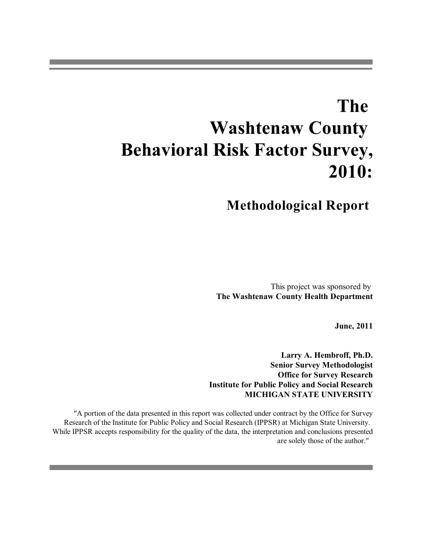# **The Washtenaw County Behavioral Risk Factor Survey, 2010:**

# **Methodological Report**

This project was sponsored by **The Washtenaw County Health Department**

**June, 2011**

**Larry A. Hembroff, Ph.D. Senior Survey Methodologist Office for Survey Research Institute for Public Policy and Social Research MICHIGAN STATE UNIVERSITY**

"A portion of the data presented in this report was collected under contract by the Office for Survey Research of the Institute for Public Policy and Social Research (IPPSR) at Michigan State University. While IPPSR accepts responsibility for the quality of the data, the interpretation and conclusions presented are solely those of the author."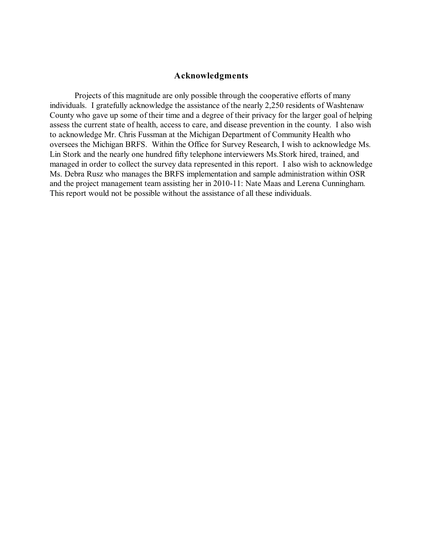#### **Acknowledgments**

Projects of this magnitude are only possible through the cooperative efforts of many individuals. I gratefully acknowledge the assistance of the nearly 2,250 residents of Washtenaw County who gave up some of their time and a degree of their privacy for the larger goal of helping assess the current state of health, access to care, and disease prevention in the county. I also wish to acknowledge Mr. Chris Fussman at the Michigan Department of Community Health who oversees the Michigan BRFS. Within the Office for Survey Research, I wish to acknowledge Ms. Lin Stork and the nearly one hundred fifty telephone interviewers Ms.Stork hired, trained, and managed in order to collect the survey data represented in this report. I also wish to acknowledge Ms. Debra Rusz who manages the BRFS implementation and sample administration within OSR and the project management team assisting her in 2010-11: Nate Maas and Lerena Cunningham. This report would not be possible without the assistance of all these individuals.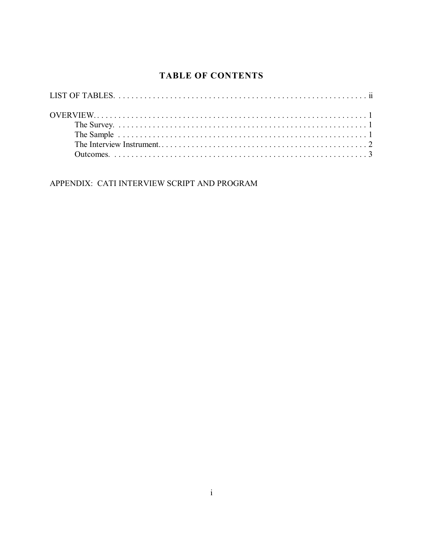### **TABLE OF CONTENTS**

APPENDIX: CATI INTERVIEW SCRIPT AND PROGRAM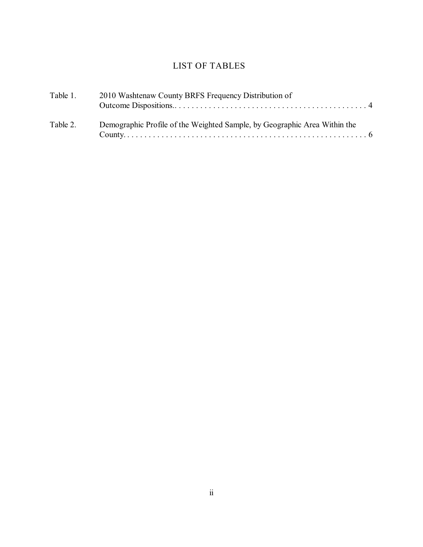### LIST OF TABLES

| Table 1. | 2010 Washtenaw County BRFS Frequency Distribution of                      |
|----------|---------------------------------------------------------------------------|
| Table 2. | Demographic Profile of the Weighted Sample, by Geographic Area Within the |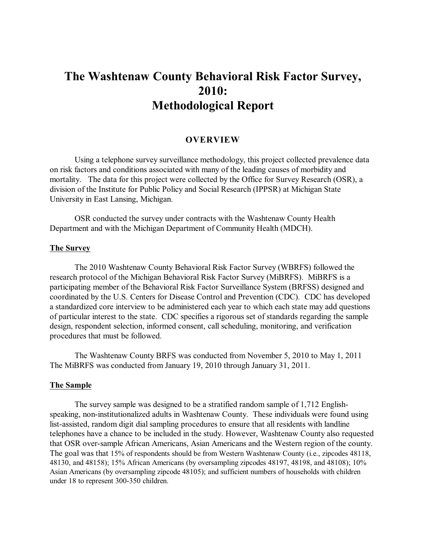## **The Washtenaw County Behavioral Risk Factor Survey, 2010: Methodological Report**

#### **OVERVIEW**

Using a telephone survey surveillance methodology, this project collected prevalence data on risk factors and conditions associated with many of the leading causes of morbidity and mortality. The data for this project were collected by the Office for Survey Research (OSR), a division of the Institute for Public Policy and Social Research (IPPSR) at Michigan State University in East Lansing, Michigan.

OSR conducted the survey under contracts with the Washtenaw County Health Department and with the Michigan Department of Community Health (MDCH).

#### **The Survey**

The 2010 Washtenaw County Behavioral Risk Factor Survey (WBRFS) followed the research protocol of the Michigan Behavioral Risk Factor Survey (MiBRFS). MiBRFS is a participating member of the Behavioral Risk Factor Surveillance System (BRFSS) designed and coordinated by the U.S. Centers for Disease Control and Prevention (CDC). CDC has developed a standardized core interview to be administered each year to which each state may add questions of particular interest to the state. CDC specifies a rigorous set of standards regarding the sample design, respondent selection, informed consent, call scheduling, monitoring, and verification procedures that must be followed.

The Washtenaw County BRFS was conducted from November 5, 2010 to May 1, 2011 The MiBRFS was conducted from January 19, 2010 through January 31, 2011.

#### **The Sample**

The survey sample was designed to be a stratified random sample of 1,712 Englishspeaking, non-institutionalized adults in Washtenaw County. These individuals were found using list-assisted, random digit dial sampling procedures to ensure that all residents with landline telephones have a chance to be included in the study. However, Washtenaw County also requested that OSR over-sample African Americans, Asian Americans and the Western region of the county. The goal was that 15% of respondents should be from Western Washtenaw County (i.e., zipcodes 48118, 48130, and 48158); 15% African Americans (by oversampling zipcodes 48197, 48198, and 48108); 10% Asian Americans (by oversampling zipcode 48105); and sufficient numbers of households with children under 18 to represent 300-350 children.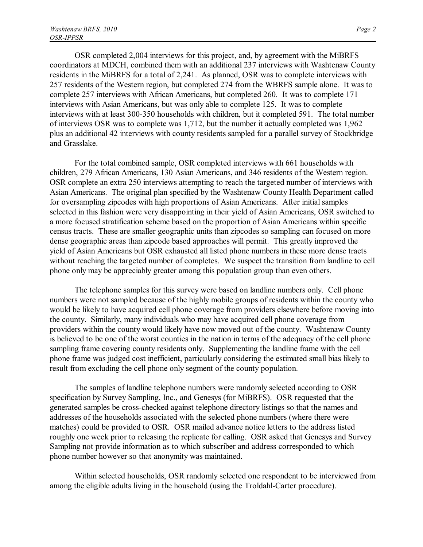OSR completed 2,004 interviews for this project, and, by agreement with the MiBRFS coordinators at MDCH, combined them with an additional 237 interviews with Washtenaw County residents in the MiBRFS for a total of 2,241. As planned, OSR was to complete interviews with 257 residents of the Western region, but completed 274 from the WBRFS sample alone. It was to complete 257 interviews with African Americans, but completed 260. It was to complete 171 interviews with Asian Americans, but was only able to complete 125. It was to complete interviews with at least 300-350 households with children, but it completed 591. The total number of interviews OSR was to complete was 1,712, but the number it actually completed was 1,962 plus an additional 42 interviews with county residents sampled for a parallel survey of Stockbridge and Grasslake.

For the total combined sample, OSR completed interviews with 661 households with children, 279 African Americans, 130 Asian Americans, and 346 residents of the Western region. OSR complete an extra 250 interviews attempting to reach the targeted number of interviews with Asian Americans. The original plan specified by the Washtenaw County Health Department called for oversampling zipcodes with high proportions of Asian Americans. After initial samples selected in this fashion were very disappointing in their yield of Asian Americans, OSR switched to a more focused stratification scheme based on the proportion of Asian Americans within specific census tracts. These are smaller geographic units than zipcodes so sampling can focused on more dense geographic areas than zipcode based approaches will permit. This greatly improved the yield of Asian Americans but OSR exhausted all listed phone numbers in these more dense tracts without reaching the targeted number of completes. We suspect the transition from landline to cell phone only may be appreciably greater among this population group than even others.

The telephone samples for this survey were based on landline numbers only. Cell phone numbers were not sampled because of the highly mobile groups of residents within the county who would be likely to have acquired cell phone coverage from providers elsewhere before moving into the county. Similarly, many individuals who may have acquired cell phone coverage from providers within the county would likely have now moved out of the county. Washtenaw County is believed to be one of the worst counties in the nation in terms of the adequacy of the cell phone sampling frame covering county residents only. Supplementing the landline frame with the cell phone frame was judged cost inefficient, particularly considering the estimated small bias likely to result from excluding the cell phone only segment of the county population.

The samples of landline telephone numbers were randomly selected according to OSR specification by Survey Sampling, Inc., and Genesys (for MiBRFS). OSR requested that the generated samples be cross-checked against telephone directory listings so that the names and addresses of the households associated with the selected phone numbers (where there were matches) could be provided to OSR. OSR mailed advance notice letters to the address listed roughly one week prior to releasing the replicate for calling. OSR asked that Genesys and Survey Sampling not provide information as to which subscriber and address corresponded to which phone number however so that anonymity was maintained.

Within selected households, OSR randomly selected one respondent to be interviewed from among the eligible adults living in the household (using the Troldahl-Carter procedure).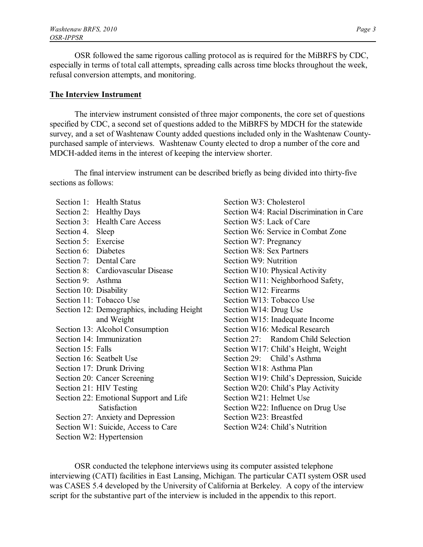OSR followed the same rigorous calling protocol as is required for the MiBRFS by CDC, especially in terms of total call attempts, spreading calls across time blocks throughout the week, refusal conversion attempts, and monitoring.

#### **The Interview Instrument**

The interview instrument consisted of three major components, the core set of questions specified by CDC, a second set of questions added to the MiBRFS by MDCH for the statewide survey, and a set of Washtenaw County added questions included only in the Washtenaw Countypurchased sample of interviews. Washtenaw County elected to drop a number of the core and MDCH-added items in the interest of keeping the interview shorter.

The final interview instrument can be described briefly as being divided into thirty-five sections as follows:

Section 1: Health Status Section 2: Healthy Days Section 3: Health Care Access Section 4. Sleep Section 5: Exercise Section 6: Diabetes Section 7: Dental Care Section 8: Cardiovascular Disease Section 9: Asthma Section 10: Disability Section 11: Tobacco Use Section 12: Demographics, including Height and Weight Section 13: Alcohol Consumption Section 14: Immunization Section 15: Falls Section 16: Seatbelt Use Section 17: Drunk Driving Section 20: Cancer Screening Section 21: HIV Testing Section 22: Emotional Support and Life Satisfaction Section 27: Anxiety and Depression Section W1: Suicide, Access to Care Section W2: Hypertension

Section W3: Cholesterol Section W4: Racial Discrimination in Care Section W5: Lack of Care Section W6: Service in Combat Zone Section W7: Pregnancy Section W8: Sex Partners Section W9: Nutrition Section W10: Physical Activity Section W11: Neighborhood Safety, Section W12: Firearms Section W13: Tobacco Use Section W14: Drug Use Section W15: Inadequate Income Section W16: Medical Research Section 27: Random Child Selection Section W17: Child's Height, Weight Section 29: Child's Asthma Section W18: Asthma Plan Section W19: Child's Depression, Suicide Section W20: Child's Play Activity Section W21: Helmet Use Section W22: Influence on Drug Use Section W23: Breastfed Section W24: Child's Nutrition

OSR conducted the telephone interviews using its computer assisted telephone interviewing (CATI) facilities in East Lansing, Michigan. The particular CATI system OSR used was CASES 5.4 developed by the University of California at Berkeley. A copy of the interview script for the substantive part of the interview is included in the appendix to this report.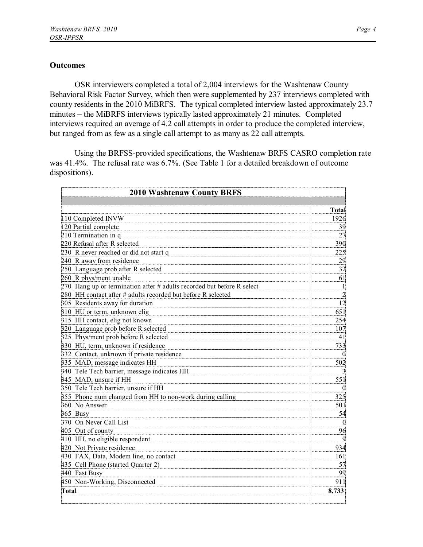#### **Outcomes**

OSR interviewers completed a total of 2,004 interviews for the Washtenaw County Behavioral Risk Factor Survey, which then were supplemented by 237 interviews completed with county residents in the 2010 MiBRFS. The typical completed interview lasted approximately 23.7 minutes – the MiBRFS interviews typically lasted approximately 21 minutes. Completed interviews required an average of 4.2 call attempts in order to produce the completed interview, but ranged from as few as a single call attempt to as many as 22 call attempts.

Using the BRFSS-provided specifications, the Washtenaw BRFS CASRO completion rate was 41.4%. The refusal rate was 6.7%. (See Table 1 for a detailed breakdown of outcome dispositions).

| <b>2010 Washtenaw County BRFS</b>                                        |                |  |
|--------------------------------------------------------------------------|----------------|--|
|                                                                          |                |  |
|                                                                          | <b>Total</b>   |  |
| 110 Completed INVW                                                       | 1926           |  |
| 120 Partial complete                                                     | 39             |  |
| 210 Termination in q                                                     | 27             |  |
| 220 Refusal after R selected                                             | 390            |  |
| 230 R never reached or did not start q                                   | 225            |  |
| 240 R away from residence                                                | 29             |  |
| 250 Language prob after R selected                                       | 32             |  |
| 260 R phys/ment unable                                                   | 61             |  |
| 270 Hang up or termination after $#$ adults recorded but before R select | $\mathbf{I}$   |  |
| 280 HH contact after # adults recorded but before R selected             | $\overline{2}$ |  |
| 305 Residents away for duration                                          | $\frac{12}{2}$ |  |
| 310 HU or term, unknown elig                                             | 651            |  |
| 315 HH contact, elig not known                                           | 254            |  |
| 320 Language prob before R selected                                      | 107            |  |
| 325 Phys/ment prob before R selected                                     | 41             |  |
| 330 HU, term, unknown if residence                                       | 733            |  |
| 332 Contact, unknown if private residence                                | $\theta$       |  |
| 335 MAD, message indicates HH                                            | 502            |  |
| 340 Tele Tech barrier, message indicates HH                              | $\overline{3}$ |  |
| 345 MAD, unsure if HH                                                    | 551            |  |
| 350 Tele Tech barrier, unsure if HH                                      | $\theta$       |  |
| 355 Phone num changed from HH to non-work during calling                 | 325            |  |
| 360 No Answer                                                            | 501            |  |
| 365 Busy                                                                 | 54             |  |
| 370 On Never Call List                                                   | $\overline{0}$ |  |
| 405 Out of county                                                        | 96             |  |
| 410 HH, no eligible respondent                                           | 9              |  |
| 420 Not Private residence                                                | 934            |  |
| 430 FAX, Data, Modem line, no contact                                    | 161            |  |
| 435 Cell Phone (started Quarter 2)                                       | 57             |  |
| 440 Fast Busy                                                            | 99             |  |
| 450 Non-Working, Disconnected                                            | 911            |  |
| Total                                                                    | 8,733          |  |
|                                                                          |                |  |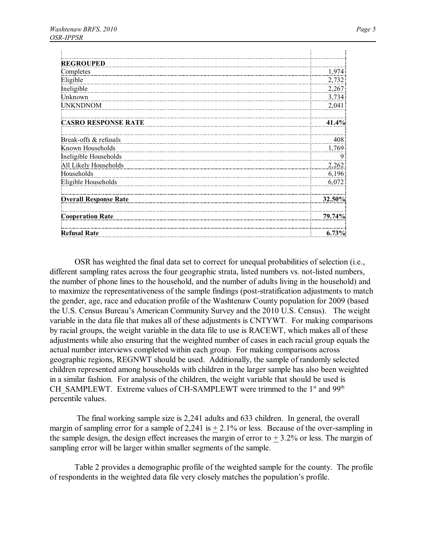| <b>REGROUPED</b>             |           |
|------------------------------|-----------|
| Completes                    | 1,974     |
| Eligible                     | 2,732     |
| Ineligible                   | 2,267     |
| Unknown                      | 3,734     |
| <b>UNKNDNOM</b>              | 2,041     |
| <b>CASRO RESPONSE RATE</b>   | 41.4%     |
| Break-offs & refusals        | 408       |
| Known Households             | 1,769     |
| Ineligible Households        | 9         |
| All Likely Households        | 2,262     |
| Households                   | 6,196     |
| Eligible Households          | 6,072     |
| <b>Overall Response Rate</b> | $32.50\%$ |
| <b>Cooperation Rate</b>      | 79.74%    |
| <b>Refusal Rate</b>          | $6.73\%$  |

OSR has weighted the final data set to correct for unequal probabilities of selection (i.e., different sampling rates across the four geographic strata, listed numbers vs. not-listed numbers, the number of phone lines to the household, and the number of adults living in the household) and to maximize the representativeness of the sample findings (post-stratification adjustments to match the gender, age, race and education profile of the Washtenaw County population for 2009 (based the U.S. Census Bureau's American Community Survey and the 2010 U.S. Census). The weight variable in the data file that makes all of these adjustments is CNTYWT. For making comparisons by racial groups, the weight variable in the data file to use is RACEWT, which makes all of these adjustments while also ensuring that the weighted number of cases in each racial group equals the actual number interviews completed within each group. For making comparisons across geographic regions, REGNWT should be used. Additionally, the sample of randomly selected children represented among households with children in the larger sample has also been weighted in a similar fashion. For analysis of the children, the weight variable that should be used is CH\_SAMPLEWT. Extreme values of CH-SAMPLEWT were trimmed to the 1<sup>st</sup> and 99<sup>th</sup> percentile values.

The final working sample size is 2,241 adults and 633 children. In general, the overall margin of sampling error for a sample of 2,241 is  $+ 2.1\%$  or less. Because of the over-sampling in the sample design, the design effect increases the margin of error to  $+3.2\%$  or less. The margin of sampling error will be larger within smaller segments of the sample.

Table 2 provides a demographic profile of the weighted sample for the county. The profile of respondents in the weighted data file very closely matches the population's profile.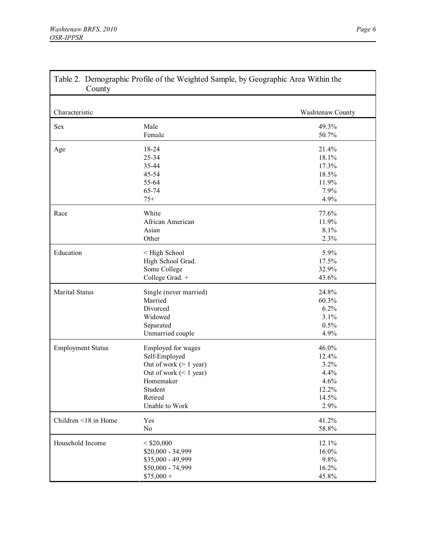Г

| County                   |                          |                  |  |  |  |
|--------------------------|--------------------------|------------------|--|--|--|
| Characteristic           |                          | Washtenaw County |  |  |  |
| <b>Sex</b>               | Male                     | 49.3%            |  |  |  |
|                          | Female                   | 50.7%            |  |  |  |
| Age                      | 18-24                    | 21.4%            |  |  |  |
|                          | 25-34                    | 18.1%            |  |  |  |
|                          | 35-44                    | 17.3%            |  |  |  |
|                          | 45-54                    | 18.5%            |  |  |  |
|                          | 55-64                    | 11.9%            |  |  |  |
|                          | 65-74                    | 7.9%             |  |  |  |
|                          | $75+$                    | 4.9%             |  |  |  |
| Race                     | White                    | 77.6%            |  |  |  |
|                          | African American         | 11.9%            |  |  |  |
|                          | Asian                    | 8.1%             |  |  |  |
|                          | Other                    | 2.3%             |  |  |  |
| Education                | < High School            | 5.9%             |  |  |  |
|                          | High School Grad.        | 17.5%            |  |  |  |
|                          | Some College             | 32.9%            |  |  |  |
|                          | College Grad. +          | 43.6%            |  |  |  |
| <b>Marital Status</b>    | Single (never married)   | 24.8%            |  |  |  |
|                          | Married                  | 60.3%            |  |  |  |
|                          | Divorced                 | 6.2%             |  |  |  |
|                          | Widowed                  | 3.1%             |  |  |  |
|                          | Separated                | 0.5%             |  |  |  |
|                          | Unmarried couple         | 4.9%             |  |  |  |
| <b>Employment Status</b> | Employed for wages       | 46.0%            |  |  |  |
|                          | Self-Employed            | 12.4%            |  |  |  |
|                          | Out of work $(> 1$ year) | 3.2%             |  |  |  |
|                          | Out of work $(< 1$ year) | 4.4%             |  |  |  |
|                          | Homemaker                | 4.6%             |  |  |  |
|                          | Student                  | 12.2%            |  |  |  |
|                          | Retired                  | 14.5%            |  |  |  |
|                          | Unable to Work           | 2.9%             |  |  |  |
| Children <18 in Home     | Yes                      | 41.2%            |  |  |  |
|                          | No                       | 58.8%            |  |  |  |
| Household Income         | $<$ \$20,000             | 12.1%            |  |  |  |
|                          | \$20,000 - 34,999        | 16.0%            |  |  |  |
|                          | \$35,000 - 49,999        | 9.8%             |  |  |  |
|                          | \$50,000 - 74,999        | 16.2%            |  |  |  |
|                          | $$75,000 +$              | 45.8%            |  |  |  |

٦